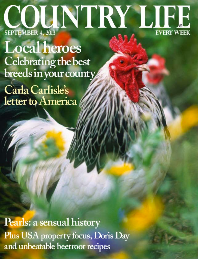# COUNTRY LIFE

**Local heroes Celebrating the best** breeds in your county

Carla Carlisle's letter to America

Pearls: a sensual history Plus USA property focus, Doris Day and unbeatable beetroot recipes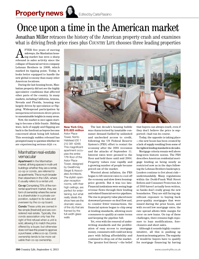# Once upon a time in the American market

Jonathan Miller retraces the history of the American property crash and examines what is driving fresh price rises plus COUNTRY LIFE chooses three leading properties

**AFTER** five years of moving<br>sideways, the Manhattan hous-<br>repeated in soles activity since the sideways, the Manhattan housrebound in sales activity since the collapse of financial services company Lehman Brothers in 2008, which marked its tipping point. Today, it looks better equipped to handle the new global economy than many other American locations.

During the last housing boom, Manhattan property did not see the highly speculative conditions that affected other parts of the country. In many markets, including California, Arizona, Nevada and Florida, housing was largely driven by speculation or flipping. Widespread participation by inexperienced investors drove prices to unsustainable heights in many areas.

Now, the market is once again starting to become a little frantic. Bidding wars, lack of supply and flipping are back to the forefront as buyers become concerned about being left behind. This seemingly sudden rebound has prompted many to question whether we are experiencing serious *déjà vu*.

# Manhattan real-estate vernacular

Apartment In the Manhattan market, all living spaces in multi-unit buildings whether they are a rental, co-op or condo, are referred to as apartments. This is much broader than elsewhere in the USA, where it usually refers to a rental unit.

Co-op Comprising 75% of the nonrental apartment market, they are form of ownership where the owner is a shareholder in a private corporation, subject to its rules and overseen by the co-op board.

Condo These units are owned in fee simple [freehold] and are considered real estate. Typically, the condo association only has the right of first refusal when a unit is sold, allowing it to match the price offered by a buyer, but otherwise does not have the power to approve a purchaser, unlike a co-op. Condo ownership tends to be more valuable than co-op ownership.



## **New York City, \$15.825 million**

Astor Place Tower, NoHo Halstead (00 1 212 381 4248) This magnificent apartment occupies the entire 17th floor of the Astor Place Tower, designed by Gwathmey Siegel & Associates Architects. The stylish openplan reception rooms, with their high ceilings, are perfect for entertaining, but what really steals the show here are the dramatic views of the city that are framed by the full-width glass walls

The last decade's housing bubble was characterised by insatiable consumer demand fuelled by unlimited and unchecked access to credit, following the US Federal Reserve System's (FRS) effort to restart the economy after the 2001 recession and the attacks of September 11. Interest rates were pressed to the floor and held there until mid 2004. Property values rose rapidly and a growing number of people became priced out of the market.

Worried about inflation, the FRS began to lift interest rates to cool off the economy and slow down housingprice growth. But it was too late. Financial institutions were seeing huge revenue flows through their lending and related financial-service pipelines. The rise in property value placed more downward pressure on deal flow and, to counter fewer transactions, the financial system began to chip away at lending standards, allowing more consumers to qualify at easier terms and keeping the pipeline full.

Yet, even with the removal of underwriting standards and the proliferation of easy access to mortgage money, consumers still could not keep pace with falling affordability and continued to drop out of the market. The 'greater fool theory'—the belief that buyers can always resell, even if they don't believe the price is supported—had run its course.

Today, the opposite is taking place —the new boom has been created by a lack of supply resulting from some of the tightest lending standards in decades.

Mortgage criteria remain well above long-term historic norms. The FRS describes American residential mortgage lending as being nearly as restricted now as in the days following the Lehman Brothers bankruptcy. Lenders continue to fret about risk understandably. Many regulations within the Dodd-Frank Wall Street Reform and Consumer Protection Act of 2010 haven't actually been written, so banks don't really grasp the new boundaries. They are still facing significant exposure to buying back poor-quality mortgages that were issued during the prior boom, and with record low mortgage rates, the rate spread allows little margin for error on new loans. On top of these challenges, there remains high exposure to loan modifications, foreclosures and short sales.

Although it sounds highly counterintuitive, all this is pushing up American housing prices. The majority of would-be buyers have to qualify for mortgage financing by having